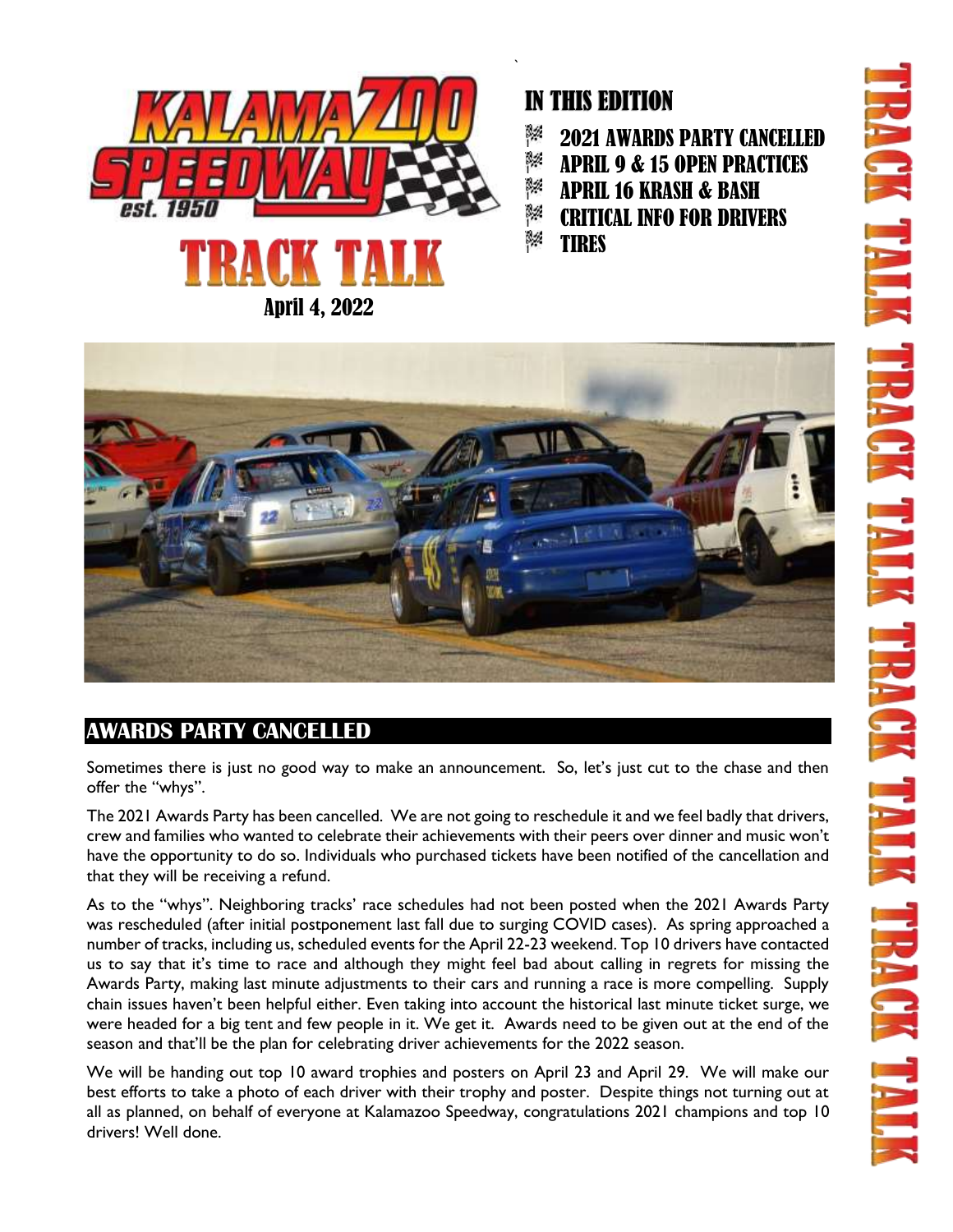

### April 4, 2022

# IN THIS EDITION

- 8% 2021 AWARDS PARTY CANCELLED
- 8% APRIL 9 & 15 OPEN PRACTICES
- 8% APRIL 16 KRASH & BASH
- 3% CRITICAL INFO FOR DRIVERS
- ß% **TIRES**

`



## **AWARDS PARTY CANCELLED**

Sometimes there is just no good way to make an announcement. So, let's just cut to the chase and then offer the "whys".

The 2021 Awards Party has been cancelled. We are not going to reschedule it and we feel badly that drivers, crew and families who wanted to celebrate their achievements with their peers over dinner and music won't have the opportunity to do so. Individuals who purchased tickets have been notified of the cancellation and that they will be receiving a refund.

As to the "whys". Neighboring tracks' race schedules had not been posted when the 2021 Awards Party was rescheduled (after initial postponement last fall due to surging COVID cases). As spring approached a number of tracks, including us, scheduled events for the April 22-23 weekend. Top 10 drivers have contacted us to say that it's time to race and although they might feel bad about calling in regrets for missing the Awards Party, making last minute adjustments to their cars and running a race is more compelling. Supply chain issues haven't been helpful either. Even taking into account the historical last minute ticket surge, we were headed for a big tent and few people in it. We get it. Awards need to be given out at the end of the season and that'll be the plan for celebrating driver achievements for the 2022 season.

We will be handing out top 10 award trophies and posters on April 23 and April 29. We will make our best efforts to take a photo of each driver with their trophy and poster. Despite things not turning out at all as planned, on behalf of everyone at Kalamazoo Speedway, congratulations 2021 champions and top 10 drivers! Well done.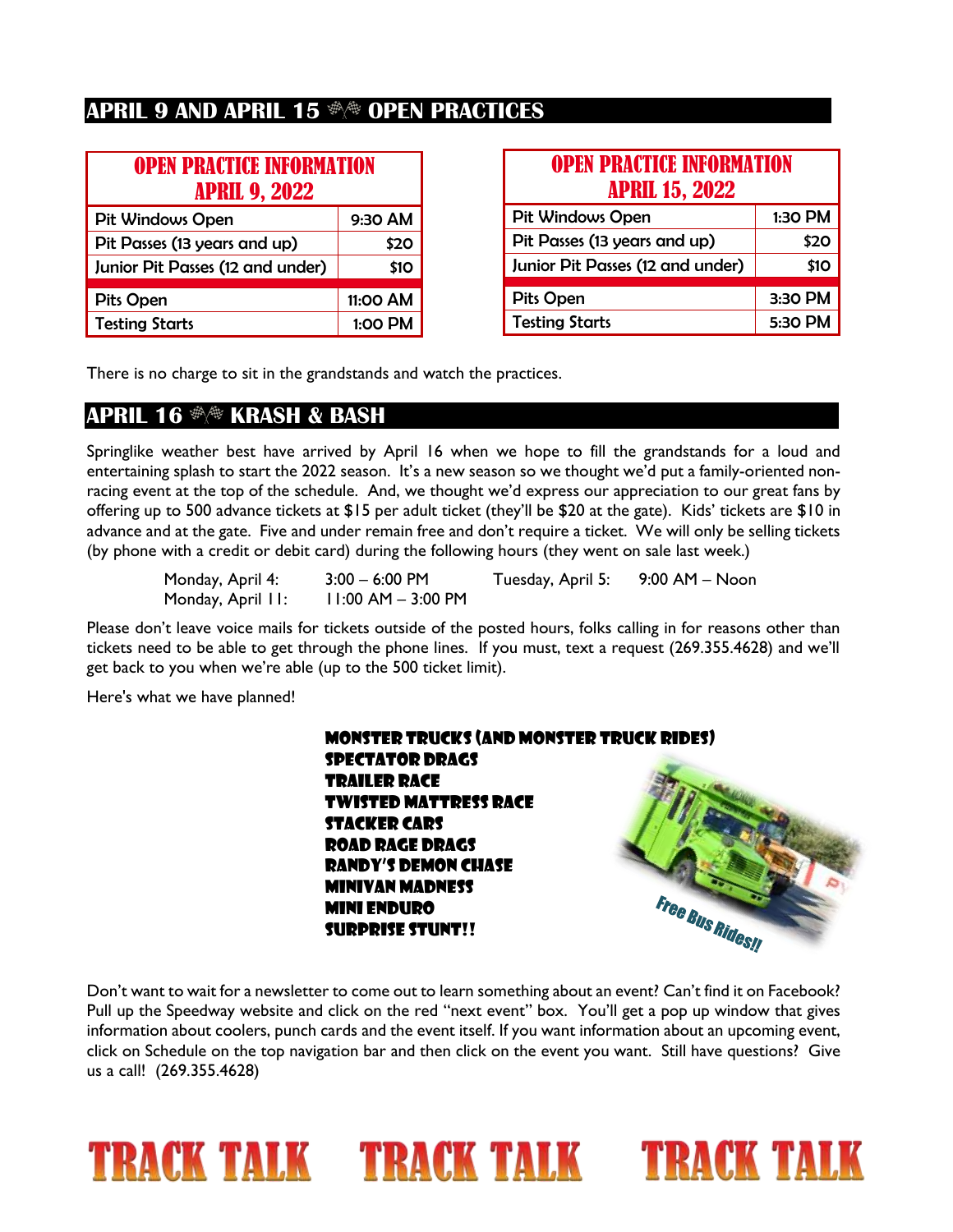### **APRIL 9 AND APRIL 15**  $\Re$  **open practices**

| <b>OPEN PRACTICE INFORMATION</b><br><b>APRIL 9, 2022</b> |          |  |
|----------------------------------------------------------|----------|--|
| <b>Pit Windows Open</b>                                  | 9:30 AM  |  |
| Pit Passes (13 years and up)                             | \$20     |  |
| Junior Pit Passes (12 and under)                         | \$10     |  |
| <b>Pits Open</b>                                         | 11:00 AM |  |
| <b>Testing Starts</b>                                    | 1:00 PM  |  |

| <b>OPEN PRACTICE INFORMATION</b><br><b>APRIL 15, 2022</b> |         |  |
|-----------------------------------------------------------|---------|--|
| <b>Pit Windows Open</b>                                   | 1:30 PM |  |
| Pit Passes (13 years and up)                              | \$20    |  |
| Junior Pit Passes (12 and under)                          | \$10    |  |
| <b>Pits Open</b>                                          | 3:30 PM |  |
| <b>Testing Starts</b>                                     | 5:30 PM |  |

There is no charge to sit in the grandstands and watch the practices.

### **APRIL 16**  $\frac{4}{3}$  **KRASH & BASH**

Springlike weather best have arrived by April 16 when we hope to fill the grandstands for a loud and entertaining splash to start the 2022 season. It's a new season so we thought we'd put a family-oriented nonracing event at the top of the schedule. And, we thought we'd express our appreciation to our great fans by offering up to 500 advance tickets at \$15 per adult ticket (they'll be \$20 at the gate). Kids' tickets are \$10 in advance and at the gate. Five and under remain free and don't require a ticket. We will only be selling tickets (by phone with a credit or debit card) during the following hours (they went on sale last week.)

| Monday, April 4:  | $3:00 - 6:00$ PM       | Tuesday, April 5: | 9:00 AM – Noon |
|-------------------|------------------------|-------------------|----------------|
| Monday, April II: | $11:00$ AM $-$ 3:00 PM |                   |                |

Please don't leave voice mails for tickets outside of the posted hours, folks calling in for reasons other than tickets need to be able to get through the phone lines. If you must, text a request (269.355.4628) and we'll get back to you when we're able (up to the 500 ticket limit).

Here's what we have planned!

Monster Trucks (and monster truck rides) Spectator Drags Trailer Race Twisted Mattress Race Stacker Cars Road Rage Drags Randy's Demon Chase Minivan Madness Free Bus Ridesy Mini Enduro Surprise stunt!!

Don't want to wait for a newsletter to come out to learn something about an event? Can't find it on Facebook? Pull up the Speedway website and click on the red "next event" box. You'll get a pop up window that gives information about coolers, punch cards and the event itself. If you want information about an upcoming event, click on Schedule on the top navigation bar and then click on the event you want. Still have questions? Give us a call! (269.355.4628)

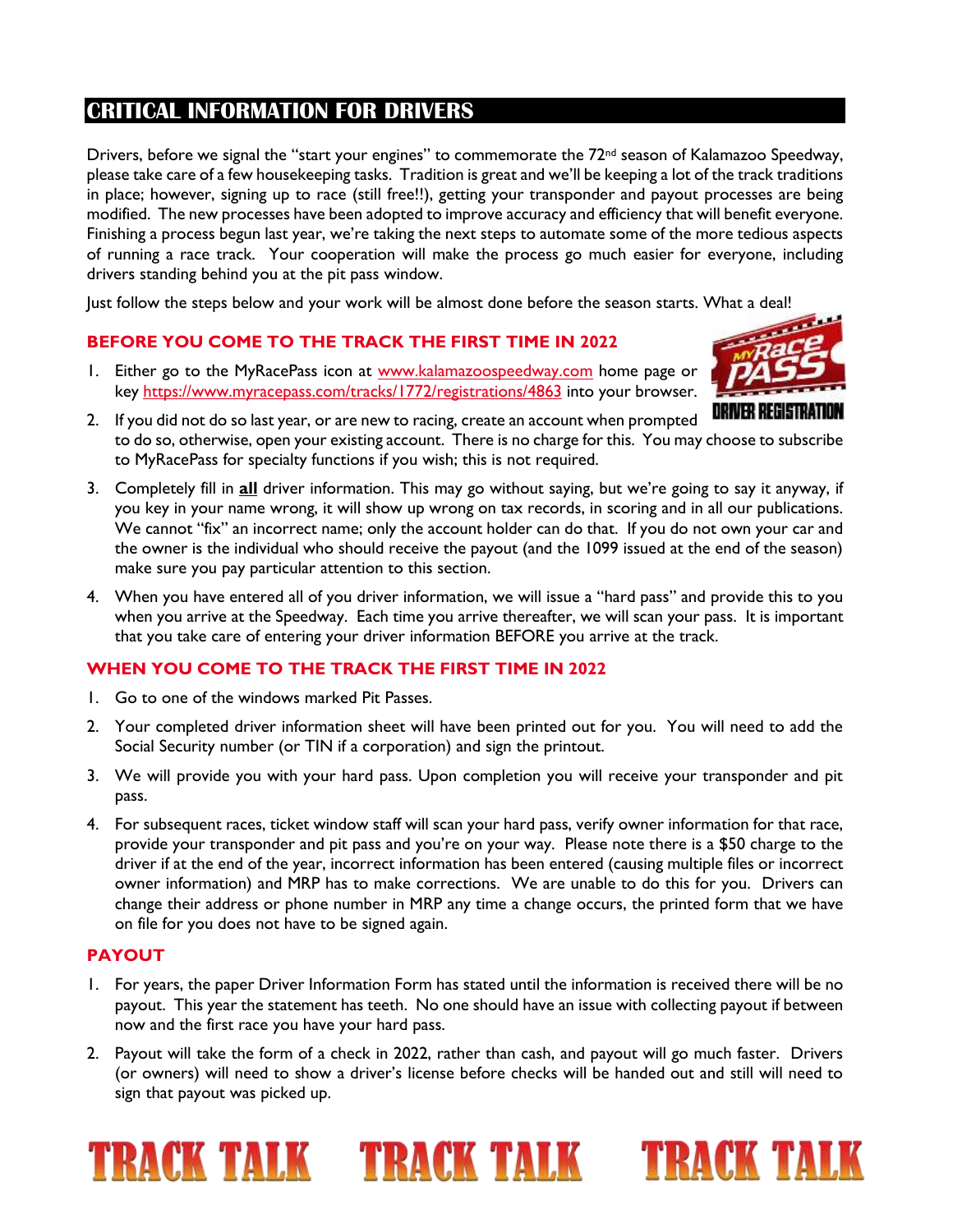### **CRITICAL INFORMATION FOR DRIVERS**

Drivers, before we signal the "start your engines" to commemorate the 72<sup>nd</sup> season of Kalamazoo Speedway, please take care of a few housekeeping tasks. Tradition is great and we'll be keeping a lot of the track traditions in place; however, signing up to race (still free!!), getting your transponder and payout processes are being modified. The new processes have been adopted to improve accuracy and efficiency that will benefit everyone. Finishing a process begun last year, we're taking the next steps to automate some of the more tedious aspects of running a race track. Your cooperation will make the process go much easier for everyone, including drivers standing behind you at the pit pass window.

Just follow the steps below and your work will be almost done before the season starts. What a deal!

#### **BEFORE YOU COME TO THE TRACK THE FIRST TIME IN 2022**

1. Either go to the MyRacePass icon at [www.kalamazoospeedway.com](http://www.kalamazoospeedway.com/) home page or key<https://www.myracepass.com/tracks/1772/registrations/4863> into your browser.



- 2. If you did not do so last year, or are new to racing, create an account when prompted to do so, otherwise, open your existing account. There is no charge for this. You may choose to subscribe to MyRacePass for specialty functions if you wish; this is not required.
- 3. Completely fill in **all** driver information. This may go without saying, but we're going to say it anyway, if you key in your name wrong, it will show up wrong on tax records, in scoring and in all our publications. We cannot "fix" an incorrect name; only the account holder can do that. If you do not own your car and the owner is the individual who should receive the payout (and the 1099 issued at the end of the season) make sure you pay particular attention to this section.
- 4. When you have entered all of you driver information, we will issue a "hard pass" and provide this to you when you arrive at the Speedway. Each time you arrive thereafter, we will scan your pass. It is important that you take care of entering your driver information BEFORE you arrive at the track.

#### **WHEN YOU COME TO THE TRACK THE FIRST TIME IN 2022**

- 1. Go to one of the windows marked Pit Passes.
- 2. Your completed driver information sheet will have been printed out for you. You will need to add the Social Security number (or TIN if a corporation) and sign the printout.
- 3. We will provide you with your hard pass. Upon completion you will receive your transponder and pit pass.
- 4. For subsequent races, ticket window staff will scan your hard pass, verify owner information for that race, provide your transponder and pit pass and you're on your way. Please note there is a \$50 charge to the driver if at the end of the year, incorrect information has been entered (causing multiple files or incorrect owner information) and MRP has to make corrections. We are unable to do this for you. Drivers can change their address or phone number in MRP any time a change occurs, the printed form that we have on file for you does not have to be signed again.

#### **PAYOUT**

- 1. For years, the paper Driver Information Form has stated until the information is received there will be no payout. This year the statement has teeth. No one should have an issue with collecting payout if between now and the first race you have your hard pass.
- 2. Payout will take the form of a check in 2022, rather than cash, and payout will go much faster. Drivers (or owners) will need to show a driver's license before checks will be handed out and still will need to sign that payout was picked up.